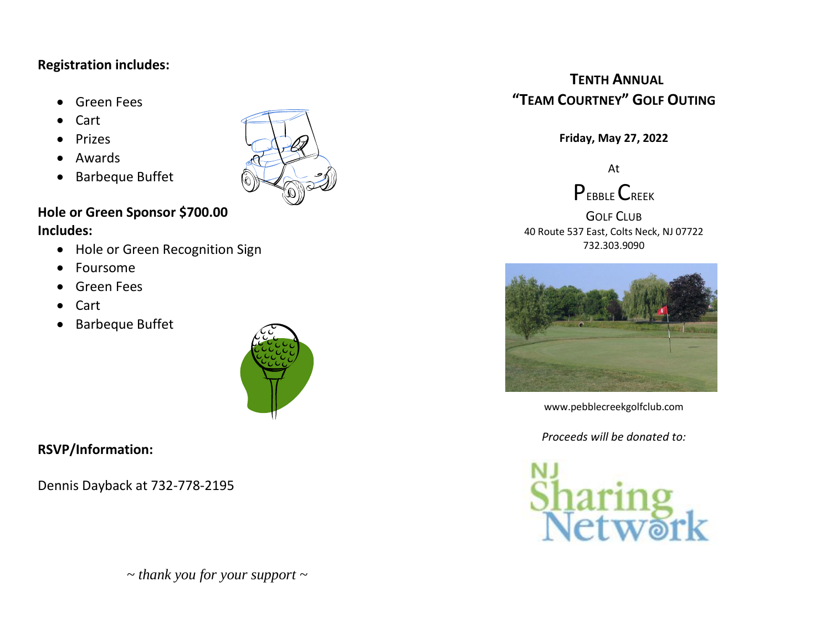#### **Registration includes:**

- Green Fees
- Cart
- **Prizes**
- Awards
- Barbeque Buffet



# **Hole or Green Sponsor \$700.00**

### **Includes:**

- Hole or Green Recognition Sign
- Foursome
- Green Fees
- Cart
- Barbeque Buffet



### **RSVP/Information:**

Dennis Dayback at 732-778-2195

*~ thank you for your support ~*

## **TENTH ANNUAL "TEAM COURTNEY" GOLF OUTING**

**Friday, May 27, 2022**

At



GOLF CLUB 40 Route 537 East, Colts Neck, NJ 07722 732.303.9090



www.pebblecreekgolfclub.com

*Proceeds will be donated to:*